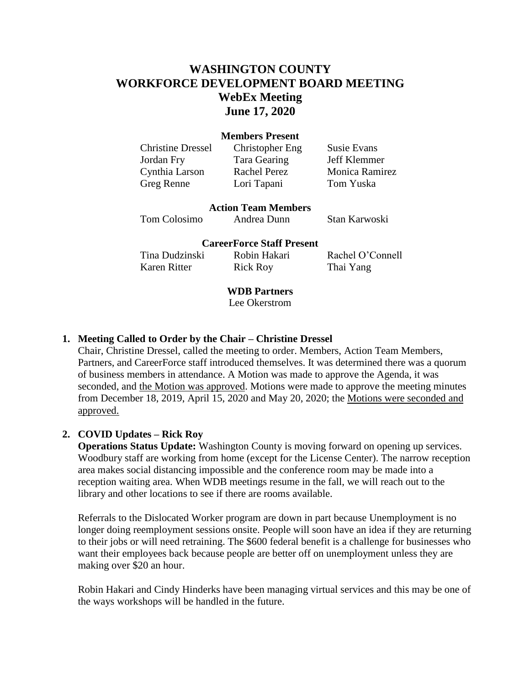# **WASHINGTON COUNTY WORKFORCE DEVELOPMENT BOARD MEETING WebEx Meeting June 17, 2020**

#### **Members Present**

Jordan Fry Tara Gearing Jeff Klemmer Greg Renne Lori Tapani Tom Yuska

Christine Dressel Christopher Eng Susie Evans

Cynthia Larson Rachel Perez Monica Ramirez

**Action Team Members**

Tom Colosimo Andrea Dunn Stan Karwoski

#### **CareerForce Staff Present**

Tina Dudzinski Robin Hakari Rachel O'Connell Karen Ritter Rick Roy Thai Yang

## **WDB Partners**

Lee Okerstrom

## **1. Meeting Called to Order by the Chair – Christine Dressel**

Chair, Christine Dressel, called the meeting to order. Members, Action Team Members, Partners, and CareerForce staff introduced themselves. It was determined there was a quorum of business members in attendance. A Motion was made to approve the Agenda, it was seconded, and the Motion was approved. Motions were made to approve the meeting minutes from December 18, 2019, April 15, 2020 and May 20, 2020; the Motions were seconded and approved.

#### **2. COVID Updates – Rick Roy**

**Operations Status Update:** Washington County is moving forward on opening up services. Woodbury staff are working from home (except for the License Center). The narrow reception area makes social distancing impossible and the conference room may be made into a reception waiting area. When WDB meetings resume in the fall, we will reach out to the library and other locations to see if there are rooms available.

Referrals to the Dislocated Worker program are down in part because Unemployment is no longer doing reemployment sessions onsite. People will soon have an idea if they are returning to their jobs or will need retraining. The \$600 federal benefit is a challenge for businesses who want their employees back because people are better off on unemployment unless they are making over \$20 an hour.

Robin Hakari and Cindy Hinderks have been managing virtual services and this may be one of the ways workshops will be handled in the future.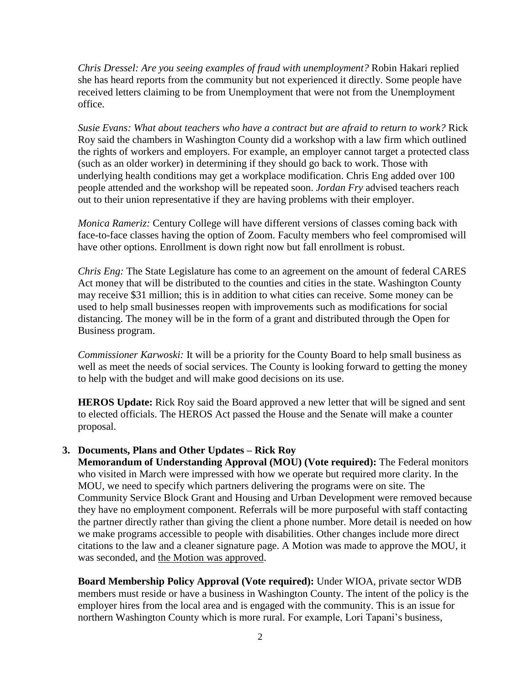*Chris Dressel: Are you seeing examples of fraud with unemployment?* Robin Hakari replied she has heard reports from the community but not experienced it directly. Some people have received letters claiming to be from Unemployment that were not from the Unemployment office.

Susie Evans: What about teachers who have a contract but are afraid to return to work? Rick Roy said the chambers in Washington County did a workshop with a law firm which outlined the rights of workers and employers. For example, an employer cannot target a protected class (such as an older worker) in determining if they should go back to work. Those with underlying health conditions may get a workplace modification. Chris Eng added over 100 people attended and the workshop will be repeated soon. *Jordan Fry* advised teachers reach out to their union representative if they are having problems with their employer.

*Monica Rameriz:* Century College will have different versions of classes coming back with face-to-face classes having the option of Zoom. Faculty members who feel compromised will have other options. Enrollment is down right now but fall enrollment is robust.

*Chris Eng:* The State Legislature has come to an agreement on the amount of federal CARES Act money that will be distributed to the counties and cities in the state. Washington County may receive \$31 million; this is in addition to what cities can receive. Some money can be used to help small businesses reopen with improvements such as modifications for social distancing. The money will be in the form of a grant and distributed through the Open for Business program.

*Commissioner Karwoski:* It will be a priority for the County Board to help small business as well as meet the needs of social services. The County is looking forward to getting the money to help with the budget and will make good decisions on its use.

**HEROS Update:** Rick Roy said the Board approved a new letter that will be signed and sent to elected officials. The HEROS Act passed the House and the Senate will make a counter proposal.

# **3. Documents, Plans and Other Updates – Rick Roy**

**Memorandum of Understanding Approval (MOU) (Vote required):** The Federal monitors who visited in March were impressed with how we operate but required more clarity. In the MOU, we need to specify which partners delivering the programs were on site. The Community Service Block Grant and Housing and Urban Development were removed because they have no employment component. Referrals will be more purposeful with staff contacting the partner directly rather than giving the client a phone number. More detail is needed on how we make programs accessible to people with disabilities. Other changes include more direct citations to the law and a cleaner signature page. A Motion was made to approve the MOU, it was seconded, and the Motion was approved.

**Board Membership Policy Approval (Vote required):** Under WIOA, private sector WDB members must reside or have a business in Washington County. The intent of the policy is the employer hires from the local area and is engaged with the community. This is an issue for northern Washington County which is more rural. For example, Lori Tapani's business,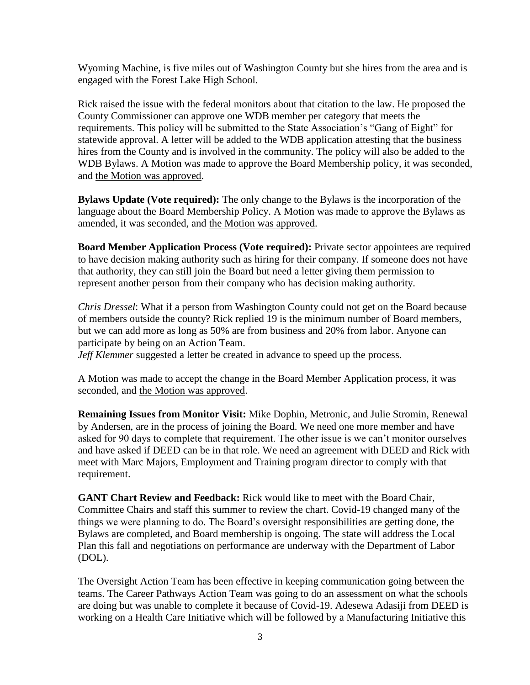Wyoming Machine, is five miles out of Washington County but she hires from the area and is engaged with the Forest Lake High School.

Rick raised the issue with the federal monitors about that citation to the law. He proposed the County Commissioner can approve one WDB member per category that meets the requirements. This policy will be submitted to the State Association's "Gang of Eight" for statewide approval. A letter will be added to the WDB application attesting that the business hires from the County and is involved in the community. The policy will also be added to the WDB Bylaws. A Motion was made to approve the Board Membership policy, it was seconded, and the Motion was approved.

**Bylaws Update (Vote required):** The only change to the Bylaws is the incorporation of the language about the Board Membership Policy. A Motion was made to approve the Bylaws as amended, it was seconded, and the Motion was approved.

**Board Member Application Process (Vote required):** Private sector appointees are required to have decision making authority such as hiring for their company. If someone does not have that authority, they can still join the Board but need a letter giving them permission to represent another person from their company who has decision making authority.

*Chris Dressel*: What if a person from Washington County could not get on the Board because of members outside the county? Rick replied 19 is the minimum number of Board members, but we can add more as long as 50% are from business and 20% from labor. Anyone can participate by being on an Action Team.

*Jeff Klemmer* suggested a letter be created in advance to speed up the process.

A Motion was made to accept the change in the Board Member Application process, it was seconded, and the Motion was approved.

**Remaining Issues from Monitor Visit:** Mike Dophin, Metronic, and Julie Stromin, Renewal by Andersen, are in the process of joining the Board. We need one more member and have asked for 90 days to complete that requirement. The other issue is we can't monitor ourselves and have asked if DEED can be in that role. We need an agreement with DEED and Rick with meet with Marc Majors, Employment and Training program director to comply with that requirement.

**GANT Chart Review and Feedback:** Rick would like to meet with the Board Chair, Committee Chairs and staff this summer to review the chart. Covid-19 changed many of the things we were planning to do. The Board's oversight responsibilities are getting done, the Bylaws are completed, and Board membership is ongoing. The state will address the Local Plan this fall and negotiations on performance are underway with the Department of Labor (DOL).

The Oversight Action Team has been effective in keeping communication going between the teams. The Career Pathways Action Team was going to do an assessment on what the schools are doing but was unable to complete it because of Covid-19. Adesewa Adasiji from DEED is working on a Health Care Initiative which will be followed by a Manufacturing Initiative this